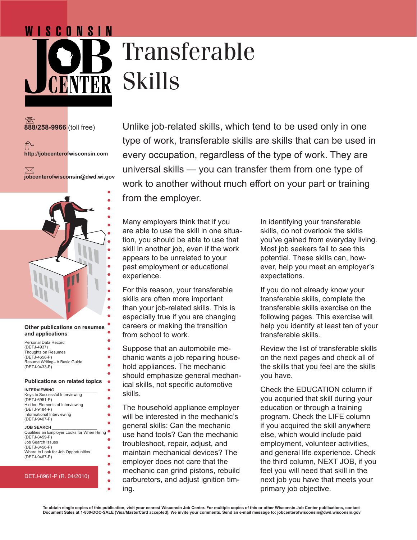## Transferable Skills

**888/258-9966** (toll free)

户 **http://jobcenterofwisconsin.com**

WISCONSIN

 $\bowtie$ **jobcenterofwisconsin@dwd.wi.gov**



## **Other publications on resumes and applications**

ä

ó ŏ

| Personal Data Record         |
|------------------------------|
| (DETJ-4937)                  |
| Thoughts on Resumes          |
| (DETJ-4658-P)                |
| Resume Writing-A Basic Guide |
| (DETJ-9433-P)                |

## **Publications on related topics**

| <b>INTERVIEWING</b>             |  |
|---------------------------------|--|
| Keys to Successful Interviewing |  |
| (DETJ-6951-P)                   |  |
| Hidden Elements of Interviewing |  |
| (DETJ-9484-P)                   |  |
| Informational Interviewing      |  |
| (DETJ-9407-P)                   |  |
|                                 |  |

**JOB SEARCH\_\_\_\_\_\_\_\_\_\_\_\_\_\_\_\_\_\_\_\_**

Qualities an Employer Looks for When Hiring (DETJ-8459-P) Job Search Issues (DETJ-8456-P) Where to Look for Job Opportunities (DETJ-9467-P)

## DETJ-8961-P (R. 04/2010)

Unlike job-related skills, which tend to be used only in one type of work, transferable skills are skills that can be used in every occupation, regardless of the type of work. They are universal skills — you can transfer them from one type of work to another without much effort on your part or training from the employer.

Many employers think that if you are able to use the skill in one situation, you should be able to use that skill in another job, even if the work appears to be unrelated to your past employment or educational experience.

For this reason, your transferable skills are often more important than your job-related skills. This is especially true if you are changing careers or making the transition from school to work.

Suppose that an automobile mechanic wants a job repairing household appliances. The mechanic should emphasize general mechanical skills, not specific automotive skills.

The household appliance employer will be interested in the mechanic's general skills: Can the mechanic use hand tools? Can the mechanic troubleshoot, repair, adjust, and maintain mechanical devices? The employer does not care that the mechanic can grind pistons, rebuild carburetors, and adjust ignition timing.

In identifying your transferable skills, do not overlook the skills you've gained from everyday living. Most job seekers fail to see this potential. These skills can, however, help you meet an employer's expectations.

If you do not already know your transferable skills, complete the transferable skills exercise on the following pages. This exercise will help you identify at least ten of your transferable skills.

Review the list of transferable skills on the next pages and check all of the skills that you feel are the skills you have.

Check the EDUCATION column if you acquried that skill during your education or through a training program. Check the LIFE column if you acquired the skill anywhere else, which would include paid employment, volunteer activities, and general life experience. Check the third column, NEXT JOB, if you feel you will need that skill in the next job you have that meets your primary job objective.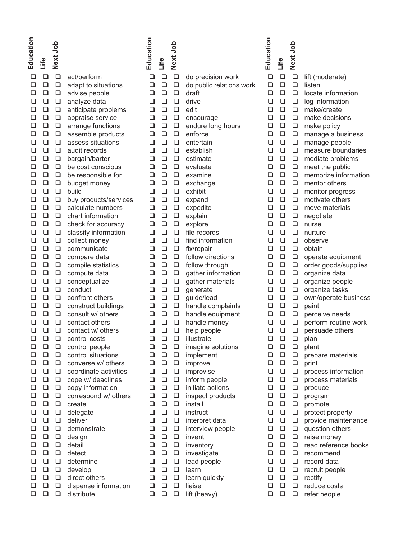| Education<br>Next Job<br>Life                                                                                                                                                                                                                                                                                                                                                                                                                                                                                                                                                                                                                                                                                                                                                                                                                                                                                                                                                                                                                                                                                                                                                                        |                                                                                                                                                                                                                                                                                                                                                                                                                                                                                                                                                                                                                                                                                                                                                                                                                                                                                                                                                       | Education                                                                                                                                                                                                                                                         | Next Job<br>Life                                                                                                                                                                                                                                                                                                                                                                                                                                                                                                                                                                                                                                                                                                                                                 |                                                                                                                                                                                                                                                                                                                                                                                                                                                                                                                                                                                                                                                                                                                                                                                  |
|------------------------------------------------------------------------------------------------------------------------------------------------------------------------------------------------------------------------------------------------------------------------------------------------------------------------------------------------------------------------------------------------------------------------------------------------------------------------------------------------------------------------------------------------------------------------------------------------------------------------------------------------------------------------------------------------------------------------------------------------------------------------------------------------------------------------------------------------------------------------------------------------------------------------------------------------------------------------------------------------------------------------------------------------------------------------------------------------------------------------------------------------------------------------------------------------------|-------------------------------------------------------------------------------------------------------------------------------------------------------------------------------------------------------------------------------------------------------------------------------------------------------------------------------------------------------------------------------------------------------------------------------------------------------------------------------------------------------------------------------------------------------------------------------------------------------------------------------------------------------------------------------------------------------------------------------------------------------------------------------------------------------------------------------------------------------------------------------------------------------------------------------------------------------|-------------------------------------------------------------------------------------------------------------------------------------------------------------------------------------------------------------------------------------------------------------------|------------------------------------------------------------------------------------------------------------------------------------------------------------------------------------------------------------------------------------------------------------------------------------------------------------------------------------------------------------------------------------------------------------------------------------------------------------------------------------------------------------------------------------------------------------------------------------------------------------------------------------------------------------------------------------------------------------------------------------------------------------------|----------------------------------------------------------------------------------------------------------------------------------------------------------------------------------------------------------------------------------------------------------------------------------------------------------------------------------------------------------------------------------------------------------------------------------------------------------------------------------------------------------------------------------------------------------------------------------------------------------------------------------------------------------------------------------------------------------------------------------------------------------------------------------|
| $\Box$<br>⊔<br>□<br>$\Box$<br>$\Box$<br>$\Box$<br>$\Box$<br>❏<br>$\Box$<br>❏<br>❏<br>$\Box$<br>$\Box$<br>$\Box$<br>❏<br>$\Box$<br>$\Box$<br>$\Box$<br>$\Box$<br>$\Box$<br>$\Box$<br>$\Box$<br>$\Box$<br>$\Box$<br>$\Box$<br>$\Box$<br>❏<br>$\Box$<br>$\Box$<br>❏<br>$\Box$<br>$\Box$<br>$\Box$<br>❏<br>$\Box$<br>$\Box$<br>❏<br>$\Box$<br>$\Box$<br>❏<br>$\Box$<br>$\Box$<br>❏<br>$\Box$<br>❏<br>$\Box$<br>$\Box$<br>$\Box$<br>$\Box$<br>$\Box$<br>$\Box$<br>❏<br>$\Box$<br>$\Box$<br>$\Box$<br>$\Box$<br>$\Box$<br>$\Box$<br>$\Box$<br>$\Box$<br>$\Box$<br>$\Box$<br>$\Box$<br>$\Box$<br>$\Box$<br>$\Box$<br>$\Box$<br>$\Box$<br>$\Box$<br>$\Box$<br>$\Box$<br>❏<br>$\Box$<br>$\Box$<br>❏<br>$\Box$<br>$\Box$<br>❏<br>$\Box$<br>$\Box$<br>$\Box$<br>$\Box$<br>$\Box$<br>$\Box$<br>$\Box$<br>$\Box$<br>$\Box$<br>❏<br>$\Box$<br>$\Box$<br>❏<br>❏<br>❏<br>$\Box$<br>$\Box$<br>$\Box$<br>□<br>□<br>ப<br>u<br>❏<br>❏<br>$\Box$<br>❏<br>❏<br>❏<br>❏<br>❏<br>❏<br>❏<br>❏<br>❏<br>❏<br>$\Box$<br>❏<br>❏<br>$\Box$<br>❏<br>❏<br>❏<br>❏<br>❏<br>❏<br>❏<br>❏<br>❏<br>❏<br>❏<br>❏<br>❏<br>❏<br>❏<br>❏<br>❏<br>❏<br>❏<br>❏<br>❏<br>❏<br>❏<br>❏<br>❏<br>❏<br>❏<br>❏<br>❏<br>❏<br>$\Box$<br>❏<br>❏<br>❏<br>❏<br>❏ | act/perform<br>adapt to situations<br>advise people<br>analyze data<br>anticipate problems<br>appraise service<br>arrange functions<br>assemble products<br>assess situations<br>audit records<br>bargain/barter<br>be cost conscious<br>be responsible for<br>budget money<br>build<br>buy products/services<br>calculate numbers<br>chart information<br>check for accuracy<br>classify information<br>collect money<br>communicate<br>compare data<br>compile statistics<br>compute data<br>conceptualize<br>conduct<br>confront others<br>construct buildings<br>consult w/ others<br>contact others<br>contact w/ others<br>control costs<br>control people<br>control situations<br>converse w/ others<br>coordinate activities<br>cope w/ deadlines<br>copy information<br>correspond w/ others<br>create<br>delegate<br>deliver<br>demonstrate<br>design<br>detail<br>detect<br>determine<br>develop<br>direct others<br>dispense information | ⊔<br>❏<br>❏<br>❏<br>❏<br>❏<br>❏<br>◻<br>◻<br>◻<br>◻<br>❏<br>◻<br>◻<br>◻<br>$\Box$<br>◻<br>◻<br>❏<br>◻<br>❏<br>◻<br>◻<br>❏<br>❏<br>❏<br>◻<br>❏<br>❏<br>❏<br>❏<br>❏<br>□.<br>⊔<br>❏<br>❏<br>❏<br>❏<br>❏<br>❏<br>❏<br>❏<br>❏<br>❏<br>❏<br>❏<br>❏<br>❏<br>❏<br>❏<br>❏ | $\Box$<br>$\Box$<br>$\Box$<br>❏<br>$\Box$<br>$\Box$<br>❏<br>❏<br>$\Box$<br>❏<br>$\Box$<br>$\Box$<br>$\Box$<br>$\Box$<br>$\Box$<br>$\Box$<br>$\Box$<br>❏<br>$\Box$<br>❏<br>$\Box$<br>❏<br>$\Box$<br>❏<br>$\Box$<br>❏<br>$\Box$<br>❏<br>$\Box$<br>❏<br>$\Box$<br>❏<br>$\Box$<br>❏<br>$\Box$<br>❏<br>$\Box$<br>$\Box$<br>$\Box$<br>$\Box$<br>$\Box$<br>❏<br>$\Box$<br>$\Box$<br>$\Box$<br>$\Box$<br>$\Box$<br>$\Box$<br>$\Box$<br>$\Box$<br>$\Box$<br>$\Box$<br>$\Box$<br>❏<br>$\Box$<br>$\Box$<br>$\Box$<br>$\Box$<br>$\Box$<br>$\Box$<br>❏<br>❏<br>$\Box$<br>$\Box$<br>❏<br>⊔<br>❏<br>❏<br>❏<br>❏<br>❏<br>❏<br>❏<br>❏<br>❏<br>❏<br>❏<br>❏<br>❏<br>❏<br>❏<br>❏<br>❏<br>❏<br>❏<br>❏<br>❏<br>❏<br>❏<br>❏<br>❏<br>❏<br>❏<br>❏<br>❏<br>❏<br>❏<br>❏<br>❏<br>❏<br>❏<br>❏ | do precision work<br>do public relations work<br>draft<br>drive<br>edit<br>encourage<br>endure long hours<br>enforce<br>entertain<br>establish<br>estimate<br>evaluate<br>examine<br>exchange<br>exhibit<br>expand<br>expedite<br>explain<br>explore<br>file records<br>find information<br>fix/repair<br>follow directions<br>follow through<br>gather information<br>gather materials<br>generate<br>guide/lead<br>handle complaints<br>handle equipment<br>handle money<br>help people<br>illustrate<br>imagine solutions<br>implement<br>improve<br>improvise<br>inform people<br>initiate actions<br>inspect products<br>install<br>instruct<br>interpret data<br>interview people<br>invent<br>inventory<br>investigate<br>lead people<br>learn<br>learn quickly<br>liaise |
| $\Box$<br>❏<br>❏                                                                                                                                                                                                                                                                                                                                                                                                                                                                                                                                                                                                                                                                                                                                                                                                                                                                                                                                                                                                                                                                                                                                                                                     | distribute                                                                                                                                                                                                                                                                                                                                                                                                                                                                                                                                                                                                                                                                                                                                                                                                                                                                                                                                            | $\Box$                                                                                                                                                                                                                                                            | ❏<br>❏                                                                                                                                                                                                                                                                                                                                                                                                                                                                                                                                                                                                                                                                                                                                                           | lift (heavy)                                                                                                                                                                                                                                                                                                                                                                                                                                                                                                                                                                                                                                                                                                                                                                     |

| Educati<br>$\Box$<br>$\Box$<br>$\Box$<br>$\Box$<br>$\Box$<br>$\Box$<br>$\Box$<br>$\Box$<br>$\Box$<br>$\Box$<br>$\Box$<br>$\Box$<br>$\Box$<br>$\Box$<br>$\Box$<br>$\Box$<br>$\Box$<br>$\Box$<br>$\Box$<br>$\Box$<br>$\Box$<br>$\Box$<br>$\Box$<br>$\Box$<br>$\Box$<br>$\Box$<br>$\Box$<br>$\Box$<br>$\Box$<br>$\Box$<br>$\Box$<br>$\Box$<br>$\Box$<br>❏<br>$\Box$<br>$\Box$<br>$\Box$<br>$\Box$<br>$\Box$<br>$\Box$<br>$\Box$<br>$\Box$<br>$\Box$<br>$\Box$<br>$\Box$<br>$\Box$<br>$\Box$<br>$\Box$ | Life<br>❏<br>$\Box$<br>$\Box$<br>$\Box$<br>$\Box$<br>$\Box$<br>$\Box$<br>$\Box$<br>$\Box$<br>$\Box$<br>$\Box$<br>$\Box$<br>$\Box$<br>$\Box$<br>$\Box$<br>$\Box$<br>$\Box$<br>$\Box$<br>$\Box$<br>$\Box$<br>$\Box$<br>$\Box$<br>$\Box$<br>$\Box$<br>$\Box$<br>$\Box$<br>$\Box$<br>$\Box$<br>$\Box$<br>$\Box$<br>$\Box$<br>$\Box$<br>$\Box$<br>❏<br>$\Box$<br>$\Box$<br>$\Box$<br>$\Box$<br>$\Box$<br>$\Box$<br>$\Box$<br>$\Box$<br>$\Box$<br>$\Box$<br>$\Box$<br>$\Box$<br>$\Box$<br>$\Box$ | Next Job<br>$\Box$<br>$\Box$<br>$\Box$<br>$\Box$<br>$\Box$<br>$\Box$<br>$\Box$<br>$\Box$<br>$\Box$<br>$\Box$<br>$\Box$<br>$\Box$<br>$\Box$<br>$\Box$<br>$\Box$<br>$\Box$<br>$\Box$<br>$\Box$<br>$\Box$<br>$\Box$<br>$\Box$<br>$\Box$<br>$\Box$<br>$\Box$<br>$\Box$<br>$\Box$<br>$\Box$<br>$\Box$<br>$\Box$<br>$\Box$<br>$\Box$<br>$\Box$<br>$\Box$<br>$\Box$<br>$\Box$<br>$\Box$<br>$\Box$<br>$\Box$<br>$\Box$<br>$\Box$<br>$\Box$<br>$\Box$<br>$\Box$<br>$\Box$<br>$\Box$<br>$\Box$<br>$\Box$<br>$\Box$ | lift (moderate)<br>listen<br>locate information<br>log information<br>make/create<br>make decisions<br>make policy<br>manage a business<br>manage people<br>measure boundaries<br>mediate problems<br>meet the public<br>memorize information<br>mentor others<br>monitor progress<br>motivate others<br>move materials<br>negotiate<br>nurse<br>nurture<br>observe<br>obtain<br>operate equipment<br>order goods/supplies<br>organize data<br>organize people<br>organize tasks<br>own/operate business<br>paint<br>perceive needs<br>perform routine work<br>persuade others<br>plan<br>plant<br>prepare materials<br>print<br>process information<br>process materials<br>produce<br>program<br>promote<br>protect property<br>provide maintenance<br>question others<br>raise money<br>read reference books<br>recommend<br>record data |
|----------------------------------------------------------------------------------------------------------------------------------------------------------------------------------------------------------------------------------------------------------------------------------------------------------------------------------------------------------------------------------------------------------------------------------------------------------------------------------------------------|--------------------------------------------------------------------------------------------------------------------------------------------------------------------------------------------------------------------------------------------------------------------------------------------------------------------------------------------------------------------------------------------------------------------------------------------------------------------------------------------|----------------------------------------------------------------------------------------------------------------------------------------------------------------------------------------------------------------------------------------------------------------------------------------------------------------------------------------------------------------------------------------------------------------------------------------------------------------------------------------------------------|---------------------------------------------------------------------------------------------------------------------------------------------------------------------------------------------------------------------------------------------------------------------------------------------------------------------------------------------------------------------------------------------------------------------------------------------------------------------------------------------------------------------------------------------------------------------------------------------------------------------------------------------------------------------------------------------------------------------------------------------------------------------------------------------------------------------------------------------|
| $\Box$<br>$\Box$<br>$\Box$                                                                                                                                                                                                                                                                                                                                                                                                                                                                         | $\Box$<br>$\Box$<br>$\Box$                                                                                                                                                                                                                                                                                                                                                                                                                                                                 | $\Box$<br>$\Box$<br>$\Box$                                                                                                                                                                                                                                                                                                                                                                                                                                                                               | recruit people<br>rectify<br>reduce costs                                                                                                                                                                                                                                                                                                                                                                                                                                                                                                                                                                                                                                                                                                                                                                                                   |
| $\Box$                                                                                                                                                                                                                                                                                                                                                                                                                                                                                             | ❏                                                                                                                                                                                                                                                                                                                                                                                                                                                                                          | $\Box$                                                                                                                                                                                                                                                                                                                                                                                                                                                                                                   | refer people                                                                                                                                                                                                                                                                                                                                                                                                                                                                                                                                                                                                                                                                                                                                                                                                                                |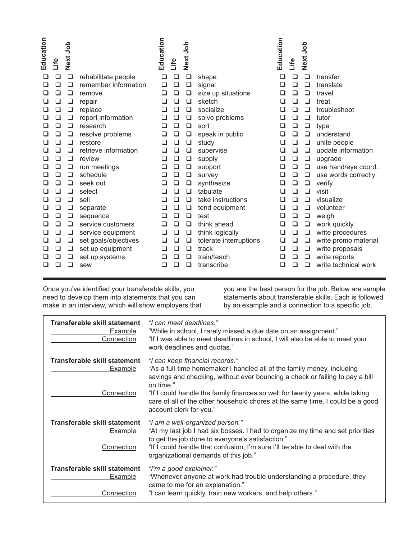| Education | Life | dob<br><b>Next</b> |                      | Education                | Life   | Next Job |                        | Education | Life   | dop<br>Next. |                      |
|-----------|------|--------------------|----------------------|--------------------------|--------|----------|------------------------|-----------|--------|--------------|----------------------|
| ⊔         | ❏    | $\Box$             | rehabilitate people  | □                        | □      | ❏        | shape                  | □         | ⊔      | □            | transfer             |
| ⊔         | ◻    | ❏                  | remember information | ❏                        | ❏      | ❏        | signal                 | ❏         | ⊔      | ❏            | translate            |
|           | ❏    | □                  | remove               | ❏                        | ❏      | ❏        | size up situations     | ❏         | □      | ❏            | travel               |
| ⊔         | ❏    | ❏                  | repair               | □                        | ❏      | □        | sketch                 | □         | □      | □            | treat                |
| ❏         | ❏    | $\Box$             | replace              | □                        | $\Box$ | ❏        | socialize              | □         | □      | $\Box$       | troubleshoot         |
| ப         | ❏    | ❏                  | report information   | ❏                        | ⊔      | ❏        | solve problems         | ⊔         | ◻      | ❏            | tutor                |
| ❏         | ❏    | ❏                  | research             | ❏                        | ❏      | ❏        | sort                   | ❏         | ❏      | ❏            | type                 |
| ⊔         | ❏    | ❏                  | resolve problems     | ❏                        | ❏      | ❏        | speak in public        | ❏         | ❏      | ❏            | understand           |
| ⊔         | ❏    | $\Box$             | restore              | □                        | ❏      | ❏        | study                  | ❏         | ❏      | $\Box$       | unite people         |
|           | ❏    | □                  | retrieve information | ❏                        | ❏      | ❏        | supervise              | ❏         | ❏      | ❏            | update information   |
| $\Box$    | ❏    | ❏                  | review               | ❏                        | ❏      | ❏        | supply                 | ❏         | ❏      | ❏            | upgrade              |
| ❏         | ❏    | ❏                  | run meetings         | ❏                        | ❏      | ❏        | support                | ❏         | $\Box$ | ❏            | use hand/eye coord.  |
| ⊔         | ❏    | ❏                  | schedule             | ❏                        | ❏      | ❏        | survey                 | ❏         | ❏      | ❏            | use words correctly  |
| ⊔         | ❏    | ❏                  | seek out             | ⊔                        | ❏      | ❏        | synthesize             | ❏         | ❏      | ❏            | verify               |
| ❏         | ❏    | ❏                  | select               | □                        | ❏      | ❏        | tabulate               | ❏         | ❏      | ❏            | visit                |
|           | ❏    | ❏                  | sell                 | ❏                        | ❏      | ❏        | take instructions      | ❏         | ❏      | ❏            | visualize            |
| ⊔         | ❏    | $\Box$             | separate             | □                        | □      | ❏        | tend equipment         | □         | ❏      | ❏            | volunteer            |
| ⊔         | ❏    | ❏                  | sequence             | □                        | ◻      | ❏        | test                   | ❏         | ❏      | $\Box$       | weigh                |
| ப         | ❏    | ❏                  | service customers    | ◻                        | ❏      | ❏        | think ahead            | ❏         | ❏      | ❏            | work quickly         |
| ⊔         | ❏    | ❏                  | service equipment    | ❏                        | ❏      | ❏        | think logically        | ❏         | ❏      | ❏            | write procedures     |
| ⊔         | ❏    | ❏                  | set goals/objectives | ❏                        | ❏      | ❏        | tolerate interruptions | ❏         | ❏      | ❏            | write promo material |
|           | ❏    | ❏                  | set up equipment     | □                        | ❏      | ❏        | track                  | ❏         | $\Box$ | ❏            | write proposals      |
|           | ◻    | ❏                  | set up systems       |                          | □      | ❏        | train/teach            | ❏         | ❏      | ❏            | write reports        |
| □         |      | ◻                  | sew                  | $\overline{\phantom{a}}$ | ┚      | □        | transcribe             | □         | □      | ப            | write technical work |

Once you've identified your transferable skills, you need to develop them into statements that you can make in an interview, which will show employers that

you are the best person for the job. Below are sample statements about transferable skills. Each is followed by an example and a connection to a specific job.

| Transferable skill statement<br><b>Example</b><br>Connection | "I can meet deadlines."<br>"While in school, I rarely missed a due date on an assignment."<br>"If I was able to meet deadlines in school, I will also be able to meet your<br>work deadlines and quotas."                                                                                                                                                                                           |
|--------------------------------------------------------------|-----------------------------------------------------------------------------------------------------------------------------------------------------------------------------------------------------------------------------------------------------------------------------------------------------------------------------------------------------------------------------------------------------|
| Transferable skill statement<br><b>Example</b><br>Connection | "I can keep financial records."<br>"As a full-time homemaker I handled all of the family money, including<br>savings and checking, without ever bouncing a check or failing to pay a bill<br>on time."<br>"If I could handle the family finances so well for twenty years, while taking<br>care of all of the other household chores at the same time, I could be a good<br>account clerk for you." |
| Transferable skill statement<br><b>Example</b><br>Connection | "I am a well-organized person."<br>"At my last job I had six bosses. I had to organize my time and set priorities<br>to get the job done to everyone's satisfaction."<br>"If I could handle that confusion, I'm sure I'll be able to deal with the<br>organizational demands of this job."                                                                                                          |
| Transferable skill statement<br>Example<br>Connection        | "I'm a good explainer."<br>"Whenever anyone at work had trouble understanding a procedure, they<br>came to me for an explanation."<br>"I can learn quickly, train new workers, and help others."                                                                                                                                                                                                    |